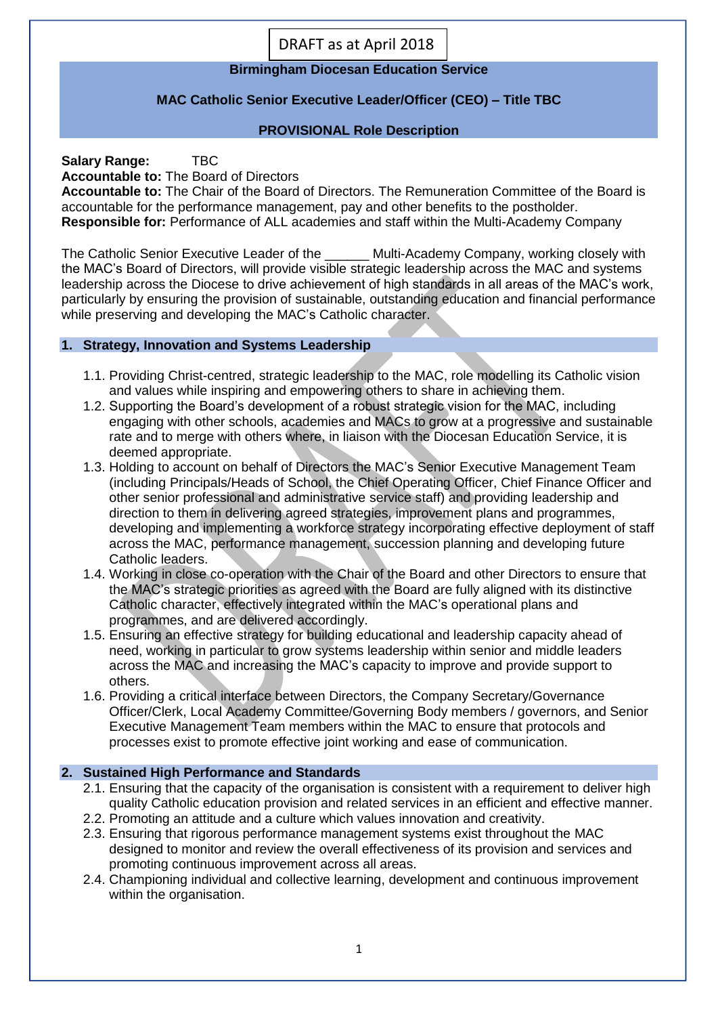DRAFT as at April 2018

# **Birmingham Diocesan Education Service**

# **MAC Catholic Senior Executive Leader/Officer (CEO) – Title TBC**

# **PROVISIONAL Role Description**

**Salary Range:** TBC

**Accountable to:** The Board of Directors

**Accountable to:** The Chair of the Board of Directors. The Remuneration Committee of the Board is accountable for the performance management, pay and other benefits to the postholder. **Responsible for:** Performance of ALL academies and staff within the Multi-Academy Company

The Catholic Senior Executive Leader of the **Nulti-Academy Company, working closely with** the MAC's Board of Directors, will provide visible strategic leadership across the MAC and systems leadership across the Diocese to drive achievement of high standards in all areas of the MAC's work, particularly by ensuring the provision of sustainable, outstanding education and financial performance while preserving and developing the MAC's Catholic character.

## **1. Strategy, Innovation and Systems Leadership**

- 1.1. Providing Christ-centred, strategic leadership to the MAC, role modelling its Catholic vision and values while inspiring and empowering others to share in achieving them.
- 1.2. Supporting the Board's development of a robust strategic vision for the MAC, including engaging with other schools, academies and MACs to grow at a progressive and sustainable rate and to merge with others where, in liaison with the Diocesan Education Service, it is deemed appropriate.
- 1.3. Holding to account on behalf of Directors the MAC's Senior Executive Management Team (including Principals/Heads of School, the Chief Operating Officer, Chief Finance Officer and other senior professional and administrative service staff) and providing leadership and direction to them in delivering agreed strategies, improvement plans and programmes, developing and implementing a workforce strategy incorporating effective deployment of staff across the MAC, performance management, succession planning and developing future Catholic leaders.
- 1.4. Working in close co-operation with the Chair of the Board and other Directors to ensure that the MAC's strategic priorities as agreed with the Board are fully aligned with its distinctive Catholic character, effectively integrated within the MAC's operational plans and programmes, and are delivered accordingly.
- 1.5. Ensuring an effective strategy for building educational and leadership capacity ahead of need, working in particular to grow systems leadership within senior and middle leaders across the MAC and increasing the MAC's capacity to improve and provide support to others.
- 1.6. Providing a critical interface between Directors, the Company Secretary/Governance Officer/Clerk, Local Academy Committee/Governing Body members / governors, and Senior Executive Management Team members within the MAC to ensure that protocols and processes exist to promote effective joint working and ease of communication.

## **2. Sustained High Performance and Standards**

- 2.1. Ensuring that the capacity of the organisation is consistent with a requirement to deliver high quality Catholic education provision and related services in an efficient and effective manner.
- 2.2. Promoting an attitude and a culture which values innovation and creativity.
- 2.3. Ensuring that rigorous performance management systems exist throughout the MAC designed to monitor and review the overall effectiveness of its provision and services and promoting continuous improvement across all areas.
- 2.4. Championing individual and collective learning, development and continuous improvement within the organisation.